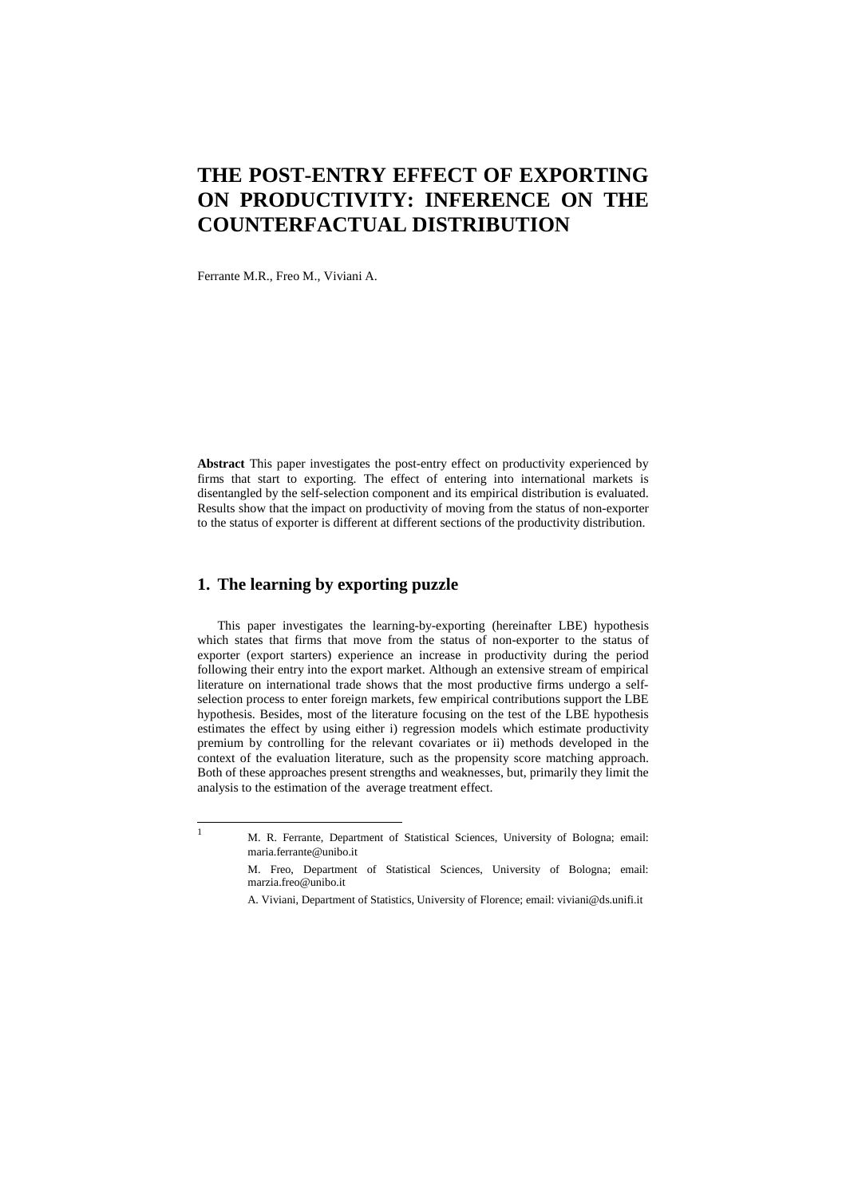## **THE POST-ENTRY EFFECT OF EXPORTING ON PRODUCTIVITY: INFERENCE ON THE COUNTERFACTUAL DISTRIBUTION**

Ferrante M.R., Freo M., Viviani A.

**Abstract** This paper investigates the post-entry effect on productivity experienced by firms that start to exporting. The effect of entering into international markets is disentangled by the self-selection component and its empirical distribution is evaluated. Results show that the impact on productivity of moving from the status of non-exporter to the status of exporter is different at different sections of the productivity distribution.

## **1. The learning by exporting puzzle**

This paper investigates the learning-by-exporting (hereinafter LBE) hypothesis which states that firms that move from the status of non-exporter to the status of exporter (export starters) experience an increase in productivity during the period following their entry into the export market. Although an extensive stream of empirical literature on international trade shows that the most productive firms undergo a selfselection process to enter foreign markets, few empirical contributions support the LBE hypothesis. Besides, most of the literature focusing on the test of the LBE hypothesis estimates the effect by using either i) regression models which estimate productivity premium by controlling for the relevant covariates or ii) methods developed in the context of the evaluation literature, such as the propensity score matching approach. Both of these approaches present strengths and weaknesses, but, primarily they limit the analysis to the estimation of the average treatment effect.

|<br>|<br>|

M. R. Ferrante, Department of Statistical Sciences, University of Bologna; email: maria.ferrante@unibo.it

M. Freo, Department of Statistical Sciences, University of Bologna; email: marzia.freo@unibo.it

A. Viviani, Department of Statistics, University of Florence; email: viviani@ds.unifi.it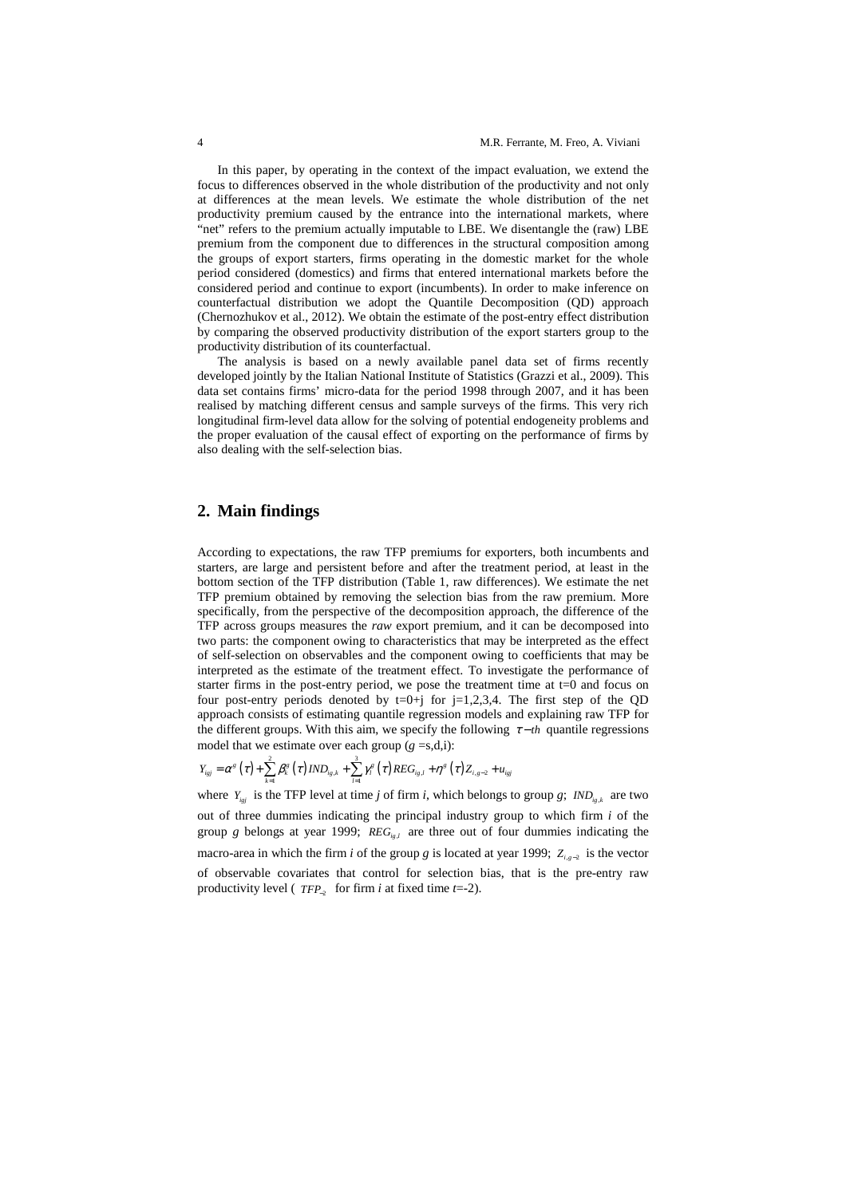In this paper, by operating in the context of the impact evaluation, we extend the focus to differences observed in the whole distribution of the productivity and not only at differences at the mean levels. We estimate the whole distribution of the net productivity premium caused by the entrance into the international markets, where "net" refers to the premium actually imputable to LBE. We disentangle the (raw) LBE premium from the component due to differences in the structural composition among the groups of export starters, firms operating in the domestic market for the whole period considered (domestics) and firms that entered international markets before the considered period and continue to export (incumbents). In order to make inference on counterfactual distribution we adopt the Quantile Decomposition (QD) approach (Chernozhukov et al., 2012). We obtain the estimate of the post-entry effect distribution by comparing the observed productivity distribution of the export starters group to the productivity distribution of its counterfactual.

The analysis is based on a newly available panel data set of firms recently developed jointly by the Italian National Institute of Statistics (Grazzi et al., 2009). This data set contains firms' micro-data for the period 1998 through 2007, and it has been realised by matching different census and sample surveys of the firms. This very rich longitudinal firm-level data allow for the solving of potential endogeneity problems and the proper evaluation of the causal effect of exporting on the performance of firms by also dealing with the self-selection bias.

## **2. Main findings**

According to expectations, the raw TFP premiums for exporters, both incumbents and starters, are large and persistent before and after the treatment period, at least in the bottom section of the TFP distribution (Table 1, raw differences). We estimate the net TFP premium obtained by removing the selection bias from the raw premium. More specifically, from the perspective of the decomposition approach, the difference of the TFP across groups measures the *raw* export premium, and it can be decomposed into two parts: the component owing to characteristics that may be interpreted as the effect of self-selection on observables and the component owing to coefficients that may be interpreted as the estimate of the treatment effect. To investigate the performance of starter firms in the post-entry period, we pose the treatment time at t=0 and focus on four post-entry periods denoted by  $t=0+j$  for  $j=1,2,3,4$ . The first step of the QD approach consists of estimating quantile regression models and explaining raw TFP for the different groups. With this aim, we specify the following  $\tau - th$  quantile regressions model that we estimate over each group  $(g = s,d,i)$ :

$$
Y_{i_{gj}} = \alpha^{g}(\tau) + \sum_{k=1}^{2} \beta_{k}^{g}(\tau) \, IND_{i_{g,k}} + \sum_{l=1}^{3} \gamma_{l}^{g}(\tau) \, REG_{i_{g,l}} + \eta^{g}(\tau) Z_{i,g-2} + u_{i_{gj}}
$$

where  $Y_{i,j}$  is the TFP level at time *j* of firm *i*, which belongs to group *g*; *IND*<sub> $i<sub>g,k</sub>$  are two</sub> out of three dummies indicating the principal industry group to which firm *i* of the group *g* belongs at year 1999; *REG*<sub>*ig,l*</sub> are three out of four dummies indicating the macro-area in which the firm *i* of the group *g* is located at year 1999;  $Z_{i,s-2}$  is the vector of observable covariates that control for selection bias, that is the pre-entry raw productivity level ( *TFP*−<sup>2</sup> for firm *i* at fixed time *t*=-2).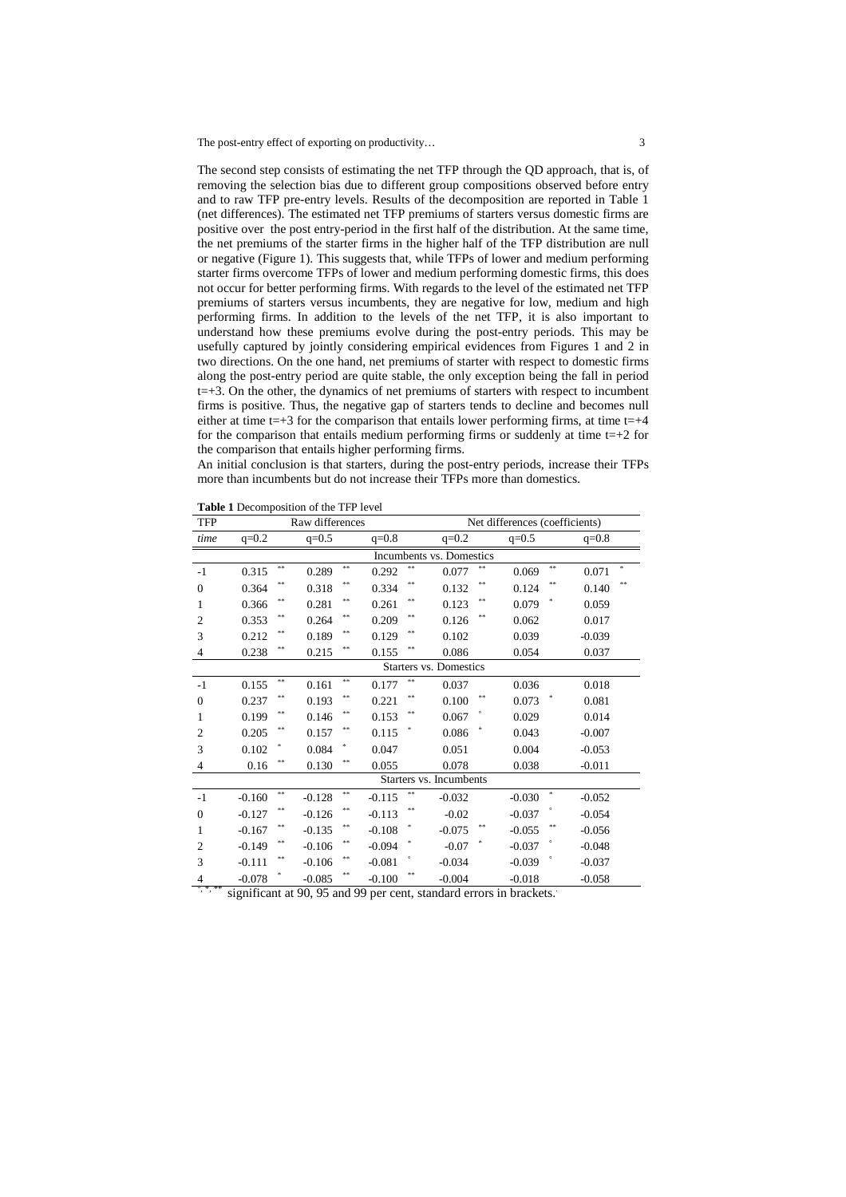The post-entry effect of exporting on productivity... 3

The second step consists of estimating the net TFP through the QD approach, that is, of removing the selection bias due to different group compositions observed before entry and to raw TFP pre-entry levels. Results of the decomposition are reported in Table 1 (net differences). The estimated net TFP premiums of starters versus domestic firms are positive over the post entry-period in the first half of the distribution. At the same time, the net premiums of the starter firms in the higher half of the TFP distribution are null or negative (Figure 1). This suggests that, while TFPs of lower and medium performing starter firms overcome TFPs of lower and medium performing domestic firms, this does not occur for better performing firms. With regards to the level of the estimated net TFP premiums of starters versus incumbents, they are negative for low, medium and high performing firms. In addition to the levels of the net TFP, it is also important to understand how these premiums evolve during the post-entry periods. This may be usefully captured by jointly considering empirical evidences from Figures 1 and 2 in two directions. On the one hand, net premiums of starter with respect to domestic firms along the post-entry period are quite stable, the only exception being the fall in period  $t=+3$ . On the other, the dynamics of net premiums of starters with respect to incumbent firms is positive. Thus, the negative gap of starters tends to decline and becomes null either at time  $t=+3$  for the comparison that entails lower performing firms, at time  $t=+4$ for the comparison that entails medium performing firms or suddenly at time  $t=+2$  for the comparison that entails higher performing firms.

An initial conclusion is that starters, during the post-entry periods, increase their TFPs more than incumbents but do not increase their TFPs more than domestics.

**Table 1** Decomposition of the TFP level

| <b>TFP</b>              | Raw differences            |           |                  |           |          |           | Net differences (coefficients) |    |          |     |          |        |  |
|-------------------------|----------------------------|-----------|------------------|-----------|----------|-----------|--------------------------------|----|----------|-----|----------|--------|--|
| time                    | $q=0.2$                    |           | $q=0.5$          |           | $q=0.8$  |           | $q=0.2$                        |    | $q=0.5$  |     | $q=0.8$  |        |  |
|                         | Incumbents vs. Domestics   |           |                  |           |          |           |                                |    |          |     |          |        |  |
| $-1$                    | 0.315                      | $\approx$ | 0.289            | **        | 0.292    | **        | 0.077                          |    | 0.069    | **  | 0.071    | $\ast$ |  |
| $\overline{0}$          | 0.364                      | **        | 0.318            | **        | 0.334    | #         | 0.132                          | ** | 0.124    | **  | 0.140    | **     |  |
| 1                       | 0.366                      | **        | 0.281            | **        | 0.261    | #         | 0.123                          | ** | 0.079    |     | 0.059    |        |  |
| $\mathbf{2}$            | 0.353                      | $* *$     | 0.264            | **        | 0.209    | #         | 0.126                          | #  | 0.062    |     | 0.017    |        |  |
| 3                       | 0.212                      | **        | 0.189            | **        | 0.129    | #         | 0.102                          |    | 0.039    |     | $-0.039$ |        |  |
| 4                       | 0.238                      | **        | 0.215            | **        | 0.155    | $**$      | 0.086                          |    | 0.054    |     | 0.037    |        |  |
| Starters vs. Domestics  |                            |           |                  |           |          |           |                                |    |          |     |          |        |  |
| $-1$                    | 0.155                      | $\approx$ | 0.161            | **        | 0.177    | $\approx$ | 0.037                          |    | 0.036    |     | 0.018    |        |  |
| $\mathbf{0}$            | 0.237                      | $* *$     | 0.193            | **        | 0.221    | #         | 0.100                          | #  | 0.073    |     | 0.081    |        |  |
| 1                       | 0.199                      | **        | 0.146            | **        | 0.153    | #         | 0.067                          |    | 0.029    |     | 0.014    |        |  |
| $\mathfrak{2}$          | 0.205                      | **        | 0.157            | **        | 0.115    |           | 0.086                          |    | 0.043    |     | $-0.007$ |        |  |
| 3                       | 0.102                      |           | 0.084            | *         | 0.047    |           | 0.051                          |    | 0.004    |     | $-0.053$ |        |  |
| $\overline{4}$          | 0.16                       | **        | 0.130            | **        | 0.055    |           | 0.078                          |    | 0.038    |     | $-0.011$ |        |  |
| Starters vs. Incumbents |                            |           |                  |           |          |           |                                |    |          |     |          |        |  |
| $-1$                    | $-0.160$                   | $***$     | $-0.128$         | **        | $-0.115$ | $\approx$ | $-0.032$                       |    | $-0.030$ | \$. | $-0.052$ |        |  |
| $\boldsymbol{0}$        | $-0.127$                   | **        | $-0.126$         | **        | $-0.113$ | #         | $-0.02$                        |    | $-0.037$ |     | $-0.054$ |        |  |
| 1                       | $-0.167$                   | **        | $-0.135$         | **        | $-0.108$ |           | $-0.075$                       | ** | $-0.055$ | **  | $-0.056$ |        |  |
| $\overline{2}$          | $-0.149$                   | **        | $-0.106$         | **        | $-0.094$ |           | $-0.07$                        |    | $-0.037$ |     | $-0.048$ |        |  |
| 3                       | $-0.111$                   | $* *$     | $-0.106$         | **        | $-0.081$ |           | $-0.034$                       |    | $-0.039$ |     | $-0.037$ |        |  |
| 4<br>○ * **             | $-0.078$<br>$\cdot$ $\sim$ |           | $-0.085$<br>0000 | **<br>100 | $-0.100$ | $* *$     | $-0.004$                       |    | $-0.018$ |     | $-0.058$ |        |  |

significant at 90, 95 and 99 per cent, standard errors in brackets.